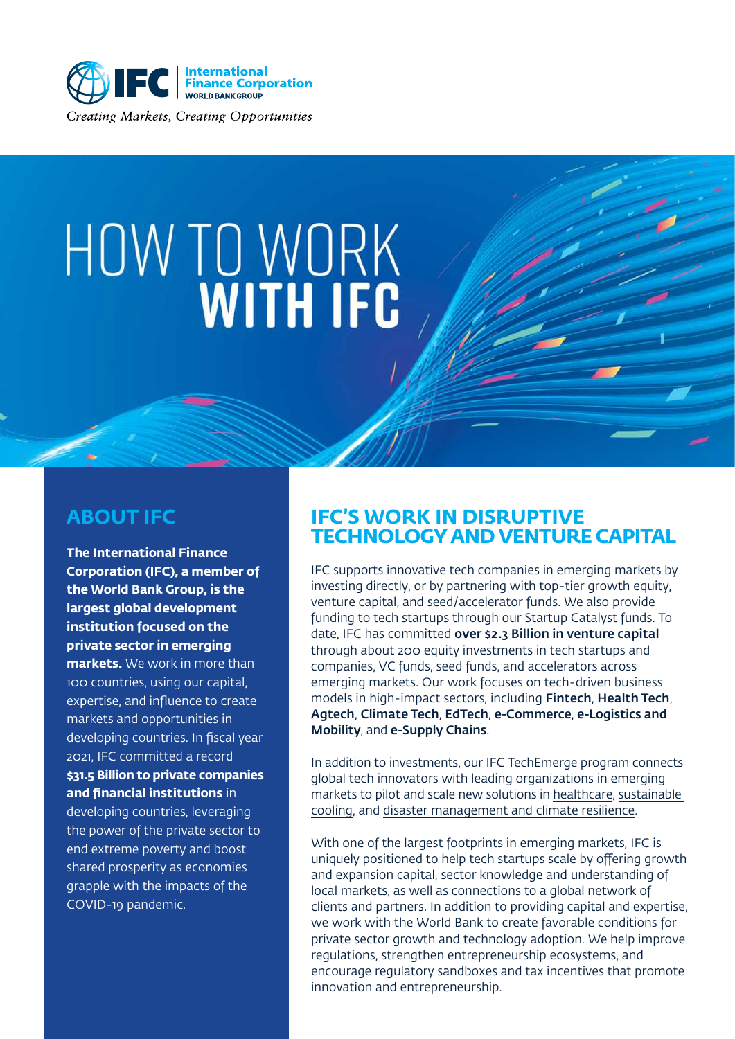

# HOW TO WORK

#### **ABOUT IFC**

**The International Finance Corporation (IFC), a member of the World Bank Group, is the largest global development institution focused on the private sector in emerging markets.** We work in more than 100 countries, using our capital, expertise, and influence to create markets and opportunities in developing countries. In fiscal year 2021, IFC committed a record **\$31.5 Billion to private companies and financial institutions** in developing countries, leveraging the power of the private sector to end extreme poverty and boost shared prosperity as economies grapple with the impacts of the COVID-19 pandemic.

#### **IFC'S WORK IN DISRUPTIVE TECHNOLOGY AND VENTURE CAPITAL**

[IFC](https://www.ifc.org/wps/wcm/connect/Topics_Ext_Content/IFC_External_Corporate_Site/Venture+Capital) supports innovative tech companies in emerging markets by investing directly, or by partnering with top-tier growth equity, venture capital, and seed/accelerator funds. We also provide funding to tech startups through our [Startup Catalyst funds](https://www.ifc.org/wps/wcm/connect/Topics_Ext_Content/IFC_External_Corporate_Site/Venture+Capital/Special+initiatives/Startup+Catalyst/). To date, IFC has committed over \$2.3 Billion in venture capital through about 200 equity investments in tech startups and companies, VC funds, seed funds, and accelerators across emerging markets. Our work focuses on tech-driven business models in high-impact sectors, including Fintech, Health Tech, Agtech, Climate Tech, EdTech, e-Commerce, e-Logistics and Mobility, and e-Supply Chains.

In addition to investments, our [IFC TechEmerge program](https://www.techemerge.org/) connects global tech innovators with leading organizations in emerging markets to pilot and scale new solutions in [healthcare](https://www.techemerge.org/our-focus/health/), [sustainable](https://www.techemerge.org/our-focus/sustainable-cooling/) [cooling,](https://www.techemerge.org/our-focus/sustainable-cooling/) and [disaster management and climate resilience](https://www.techemerge.org/our-focus/resilience/).

With one of the largest footprints in emerging markets, IFC is uniquely positioned to help tech startups scale by offering growth and expansion capital, sector knowledge and understanding of local markets, as well as connections to a global network of clients and partners. In addition to providing capital and expertise, we work with the World Bank to create favorable conditions for private sector growth and technology adoption. We help improve regulations, strengthen entrepreneurship ecosystems, and encourage regulatory sandboxes and tax incentives that promote innovation and entrepreneurship.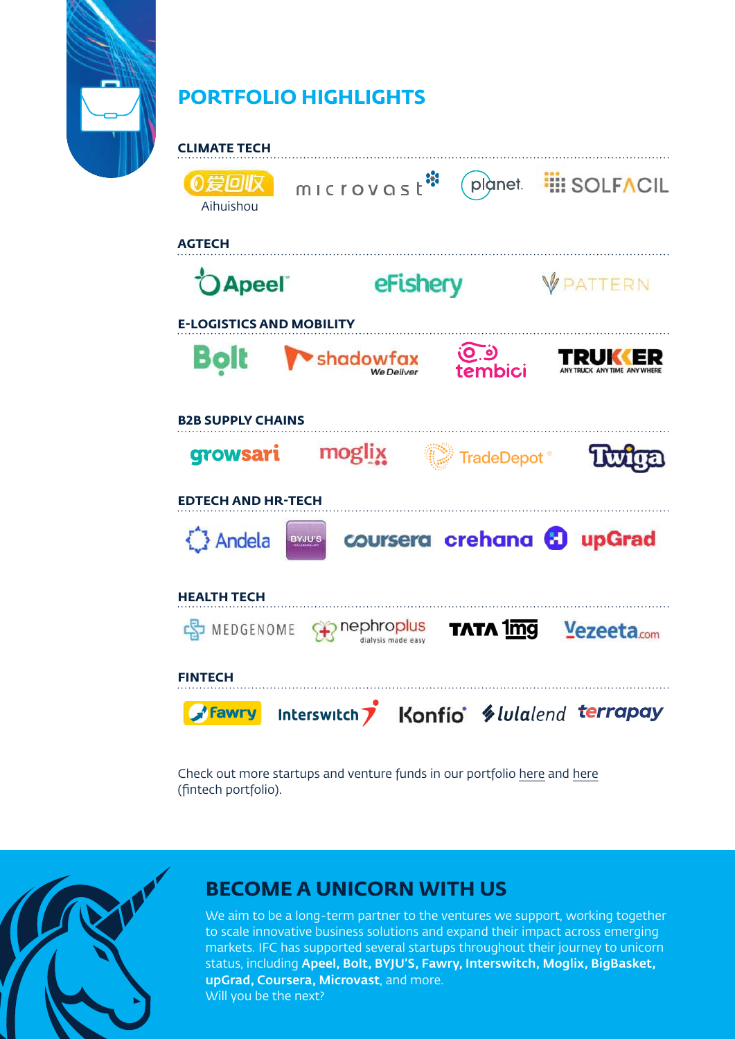

# **PORTFOLIO HIGHLIGHTS**



Check out more startups and venture funds in our portfolio [here](https://www.ifc.org/wps/wcm/connect/topics_ext_content/ifc_external_corporate_site/venture+capital/portfolio) and [here](https://www.ifc.org/wps/wcm/connect/industry_ext_content/ifc_external_corporate_site/financial+institutions/priorities/fintech/portfolio) (fintech portfolio).



## **BECOME A UNICORN WITH US**

We aim to be a long-term partner to the ventures we support, working together to scale innovative business solutions and expand their impact across emerging markets. IFC has supported several startups throughout their journey to unicorn status, including Apeel, Bolt, BYJU'S, Fawry, Interswitch, Moglix, BigBasket, upGrad, Coursera, Microvast, and more. Will you be the next?